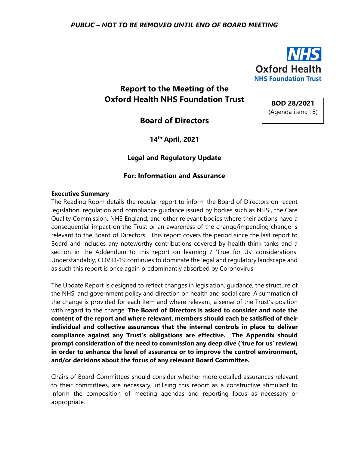

**Board of Directors**

**14th April, 2021**

# **Legal and Regulatory Update**

## **For: Information and Assurance**

#### **Executive Summary**

The Reading Room details the regular report to inform the Board of Directors on recent legislation, regulation and compliance guidance issued by bodies such as NHSI, the Care Quality Commission, NHS England, and other relevant bodies where their actions have a consequential impact on the Trust or an awareness of the change/impending change is relevant to the Board of Directors. This report covers the period since the last report to Board and includes any noteworthy contributions covered by health think tanks and a section in the Addendum to this report on learning / 'True for Us' considerations. Understandably, COVID-19 continues to dominate the legal and regulatory landscape and as such this report is once again predominantly absorbed by Coronovirus.

The Update Report is designed to reflect changes in legislation, guidance, the structure of the NHS, and government policy and direction on health and social care. A summation of the change is provided for each item and where relevant, a sense of the Trust's position with regard to the change. **The Board of Directors is asked to consider and note the content of the report and where relevant, members should each be satisfied of their individual and collective assurances that the internal controls in place to deliver compliance against any Trust's obligations are effective. The Appendix should prompt consideration of the need to commission any deep dive ('true for us' review) in order to enhance the level of assurance or to improve the control environment, and/or decisions about the focus of any relevant Board Committee.**

Chairs of Board Committees should consider whether more detailed assurances relevant to their committees, are necessary, utilising this report as a constructive stimulant to inform the composition of meeting agendas and reporting focus as necessary or appropriate.



**BOD 28/2021** (Agenda item: 18)